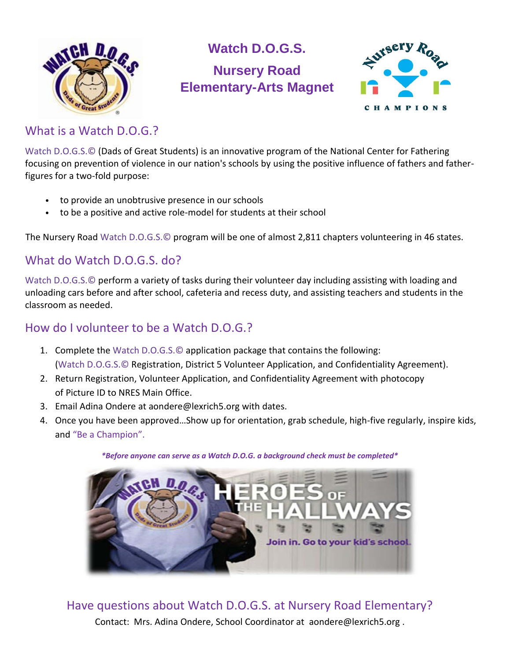

# **Watch D.O.G.S. Nursery Road Elementary-Arts Magnet**



#### What is a Watch D.O.G.?

Watch D.O.G.S.© (Dads of Great Students) is an innovative program of the National Center for Fathering focusing on prevention of violence in our nation's schools by using the positive influence of fathers and fatherfigures for a two-fold purpose:

- to provide an unobtrusive presence in our schools
- to be a positive and active role-model for students at their school

The Nursery Road Watch D.O.G.S.© program will be one of almost 2,811 chapters volunteering in 46 states.

### What do Watch D.O.G.S. do?

Watch D.O.G.S.© perform a variety of tasks during their volunteer day including assisting with loading and unloading cars before and after school, cafeteria and recess duty, and assisting teachers and students in the classroom as needed.

### How do I volunteer to be a Watch D.O.G.?

- 1. Complete the Watch D.O.G.S.© application package that contains the following: (Watch D.O.G.S.© Registration, District 5 Volunteer Application, and Confidentiality Agreement).
- 2. Return Registration, Volunteer Application, and Confidentiality Agreement with photocopy of Picture ID to NRES Main Office.
- 3. Email Adina Ondere at aondere@lexrich5.org with dates.
- 4. Once you have been approved…Show up for orientation, grab schedule, high-five regularly, inspire kids, and "Be a Champion".

*\*Before anyone can serve as a Watch D.O.G. a background check must be completed\**



## Have questions about Watch D.O.G.S. at Nursery Road Elementary?

Contact: Mrs. Adina Ondere, School Coordinator at aondere@lexrich5.org .